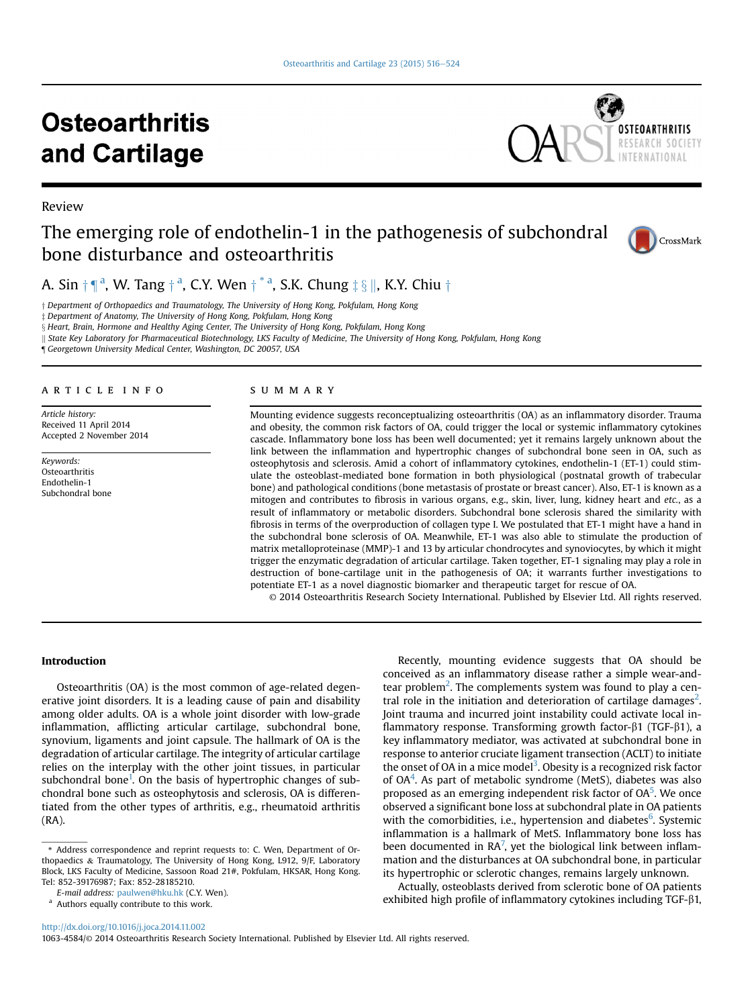# **Osteoarthritis** and Cartilage



# The emerging role of endothelin-1 in the pathogenesis of subchondral bone disturbance and osteoarthritis



A. Sin  $\dagger \P^a$ , W. Tang  $\dagger^a$ , C.Y. Wen  $\dagger^{*a}$ , S.K. Chung  $\ddagger \S \parallel$ , K.Y. Chiu  $\dagger$ 

 $\dagger$  Department of Orthopaedics and Traumatology, The University of Hong Kong, Pokfulam, Hong Kong

z Department of Anatomy, The University of Hong Kong, Pokfulam, Hong Kong

x Heart, Brain, Hormone and Healthy Aging Center, The University of Hong Kong, Pokfulam, Hong Kong

k State Key Laboratory for Pharmaceutical Biotechnology, LKS Faculty of Medicine, The University of Hong Kong, Pokfulam, Hong Kong

¶ Georgetown University Medical Center, Washington, DC 20057, USA

#### article info

Article history: Received 11 April 2014 Accepted 2 November 2014

Keywords: Osteoarthritis Endothelin-1 Subchondral bone

Review

#### SUMMARY

Mounting evidence suggests reconceptualizing osteoarthritis (OA) as an inflammatory disorder. Trauma and obesity, the common risk factors of OA, could trigger the local or systemic inflammatory cytokines cascade. Inflammatory bone loss has been well documented; yet it remains largely unknown about the link between the inflammation and hypertrophic changes of subchondral bone seen in OA, such as osteophytosis and sclerosis. Amid a cohort of inflammatory cytokines, endothelin-1 (ET-1) could stimulate the osteoblast-mediated bone formation in both physiological (postnatal growth of trabecular bone) and pathological conditions (bone metastasis of prostate or breast cancer). Also, ET-1 is known as a mitogen and contributes to fibrosis in various organs, e.g., skin, liver, lung, kidney heart and etc., as a result of inflammatory or metabolic disorders. Subchondral bone sclerosis shared the similarity with fibrosis in terms of the overproduction of collagen type I. We postulated that ET-1 might have a hand in the subchondral bone sclerosis of OA. Meanwhile, ET-1 was also able to stimulate the production of matrix metalloproteinase (MMP)-1 and 13 by articular chondrocytes and synoviocytes, by which it might trigger the enzymatic degradation of articular cartilage. Taken together, ET-1 signaling may play a role in destruction of bone-cartilage unit in the pathogenesis of OA; it warrants further investigations to potentiate ET-1 as a novel diagnostic biomarker and therapeutic target for rescue of OA.

© 2014 Osteoarthritis Research Society International. Published by Elsevier Ltd. All rights reserved.

# Introduction

Osteoarthritis (OA) is the most common of age-related degenerative joint disorders. It is a leading cause of pain and disability among older adults. OA is a whole joint disorder with low-grade inflammation, afflicting articular cartilage, subchondral bone, synovium, ligaments and joint capsule. The hallmark of OA is the degradation of articular cartilage. The integrity of articular cartilage relies on the interplay with the other joint tissues, in particular subchondral bone<sup>1</sup>. On the basis of hypertrophic changes of subchondral bone such as osteophytosis and sclerosis, OA is differentiated from the other types of arthritis, e.g., rheumatoid arthritis (RA).

Recently, mounting evidence suggests that OA should be conceived as an inflammatory disease rather a simple wear-andtear problem<sup>2</sup>. The complements system was found to play a cen-tral role in the initiation and deterioration of cartilage damages<sup>[2](#page-5-0)</sup>. Joint trauma and incurred joint instability could activate local inflammatory response. Transforming growth factor- $\beta$ 1 (TGF- $\beta$ 1), a key inflammatory mediator, was activated at subchondral bone in response to anterior cruciate ligament transection (ACLT) to initiate the onset of OA in a mice model<sup>3</sup>. Obesity is a recognized risk factor of OA<sup>[4](#page-5-0)</sup>. As part of metabolic syndrome (MetS), diabetes was also proposed as an emerging independent risk factor of OA<sup>5</sup>. We once observed a significant bone loss at subchondral plate in OA patients with the comorbidities, i.e., hypertension and diabetes<sup>6</sup>. Systemic inflammation is a hallmark of MetS. Inflammatory bone loss has been documented in RA<sup>[7](#page-5-0)</sup>, yet the biological link between inflammation and the disturbances at OA subchondral bone, in particular its hypertrophic or sclerotic changes, remains largely unknown.

Actually, osteoblasts derived from sclerotic bone of OA patients exhibited high profile of inflammatory cytokines including  $TGF-\beta1$ ,

<http://dx.doi.org/10.1016/j.joca.2014.11.002>

1063-4584/© 2014 Osteoarthritis Research Society International. Published by Elsevier Ltd. All rights reserved.

<sup>\*</sup> Address correspondence and reprint requests to: C. Wen, Department of Orthopaedics & Traumatology, The University of Hong Kong, L912, 9/F, Laboratory Block, LKS Faculty of Medicine, Sassoon Road 21#, Pokfulam, HKSAR, Hong Kong. Tel: 852-39176987; Fax: 852-28185210.

E-mail address: [paulwen@hku.hk](mailto:paulwen@hku.hk) (C.Y. Wen).

<sup>a</sup> Authors equally contribute to this work.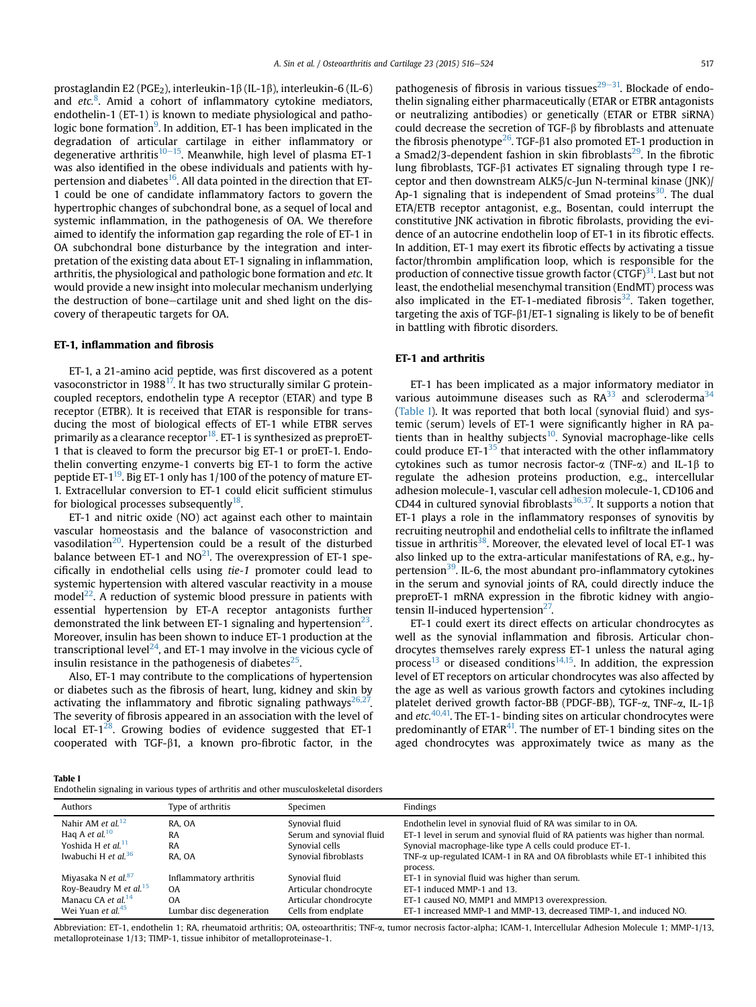prostaglandin E2 (PGE<sub>2</sub>), interleukin-1 $\beta$  (IL-1 $\beta$ ), interleukin-6 (IL-6) and  $etc.$ <sup>[8](#page-5-0)</sup>. Amid a cohort of inflammatory cytokine mediators, endothelin-1 (ET-1) is known to mediate physiological and pathologic bone formation<sup>9</sup>. In addition, ET-1 has been implicated in the degradation of articular cartilage in either inflammatory or degenerative arthritis<sup>[10](#page-5-0)–15</sup>. Meanwhile, high level of plasma ET-1 was also identified in the obese individuals and patients with hy-pertension and diabetes<sup>[16](#page-5-0)</sup>. All data pointed in the direction that ET-1 could be one of candidate inflammatory factors to govern the hypertrophic changes of subchondral bone, as a sequel of local and systemic inflammation, in the pathogenesis of OA. We therefore aimed to identify the information gap regarding the role of ET-1 in OA subchondral bone disturbance by the integration and interpretation of the existing data about ET-1 signaling in inflammation, arthritis, the physiological and pathologic bone formation and etc. It would provide a new insight into molecular mechanism underlying the destruction of bone-cartilage unit and shed light on the discovery of therapeutic targets for OA.

#### ET-1, inflammation and fibrosis

ET-1, a 21-amino acid peptide, was first discovered as a potent vasoconstrictor in 1988 $^{17}$ . It has two structurally similar G proteincoupled receptors, endothelin type A receptor (ETAR) and type B receptor (ETBR). It is received that ETAR is responsible for transducing the most of biological effects of ET-1 while ETBR serves primarily as a clearance receptor  $18$ . ET-1 is synthesized as preproET-1 that is cleaved to form the precursor big ET-1 or proET-1. Endothelin converting enzyme-1 converts big ET-1 to form the active peptide ET- $1^{19}$ . Big ET-1 only has 1/100 of the potency of mature ET-1. Extracellular conversion to ET-1 could elicit sufficient stimulus for biological processes subsequently $^{18}$ .

ET-1 and nitric oxide (NO) act against each other to maintain vascular homeostasis and the balance of vasoconstriction and vasodilation $20$ . Hypertension could be a result of the disturbed balance between ET-1 and  $NO^{21}$ . The overexpression of ET-1 specifically in endothelial cells using tie-1 promoter could lead to systemic hypertension with altered vascular reactivity in a mouse model<sup>22</sup>. A reduction of systemic blood pressure in patients with essential hypertension by ET-A receptor antagonists further demonstrated the link between ET-1 signaling and hypertension<sup>23</sup>. Moreover, insulin has been shown to induce ET-1 production at the transcriptional level<sup>24</sup>, and ET-1 may involve in the vicious cycle of insulin resistance in the pathogenesis of diabetes<sup>[25](#page-6-0)</sup>.

Also, ET-1 may contribute to the complications of hypertension or diabetes such as the fibrosis of heart, lung, kidney and skin by activating the inflammatory and fibrotic signaling pathways<sup>26,27</sup>. The severity of fibrosis appeared in an association with the level of local ET- $1^{28}$ . Growing bodies of evidence suggested that ET-1 cooperated with TGF- $\beta$ 1, a known pro-fibrotic factor, in the

pathogenesis of fibrosis in various tissues $29-31$  $29-31$ . Blockade of endothelin signaling either pharmaceutically (ETAR or ETBR antagonists or neutralizing antibodies) or genetically (ETAR or ETBR siRNA) could decrease the secretion of  $TGF-\beta$  by fibroblasts and attenuate the fibrosis phenotype<sup>[26](#page-6-0)</sup>. TGF- $\beta$ 1 also promoted ET-1 production in a Smad2/3-dependent fashion in skin fibroblasts $^{29}$  $^{29}$  $^{29}$ . In the fibrotic lung fibroblasts, TGF-b1 activates ET signaling through type I receptor and then downstream ALK5/c-Jun N-terminal kinase (JNK)/ Ap-1 signaling that is independent of Smad proteins<sup>30</sup>. The dual ETA/ETB receptor antagonist, e.g., Bosentan, could interrupt the constitutive JNK activation in fibrotic fibrolasts, providing the evidence of an autocrine endothelin loop of ET-1 in its fibrotic effects. In addition, ET-1 may exert its fibrotic effects by activating a tissue factor/thrombin amplification loop, which is responsible for the production of connective tissue growth factor  $(CTGF)^{31}$ . Last but not least, the endothelial mesenchymal transition (EndMT) process was also implicated in the ET-1-mediated fibrosis<sup>32</sup>. Taken together, targeting the axis of TGF- $\beta$ 1/ET-1 signaling is likely to be of benefit in battling with fibrotic disorders.

#### ET-1 and arthritis

ET-1 has been implicated as a major informatory mediator in various autoimmune diseases such as  $\mathbb{R}A^{33}$  and scleroderma<sup>34</sup> (Table I). It was reported that both local (synovial fluid) and systemic (serum) levels of ET-1 were significantly higher in RA patients than in healthy subjects<sup>10</sup>. Synovial macrophage-like cells could produce  $ET-1^{35}$  that interacted with the other inflammatory cytokines such as tumor necrosis factor- $\alpha$  (TNF- $\alpha$ ) and IL-1 $\beta$  to regulate the adhesion proteins production, e.g., intercellular adhesion molecule-1, vascular cell adhesion molecule-1, CD106 and CD44 in cultured synovial fibroblasts $36,37$ . It supports a notion that ET-1 plays a role in the inflammatory responses of synovitis by recruiting neutrophil and endothelial cells to infiltrate the inflamed tissue in arthritis<sup>38</sup>. Moreover, the elevated level of local ET-1 was also linked up to the extra-articular manifestations of RA, e.g., hypertension $39$ . IL-6, the most abundant pro-inflammatory cytokines in the serum and synovial joints of RA, could directly induce the preproET-1 mRNA expression in the fibrotic kidney with angiotensin II-induced hypertension $27$ .

ET-1 could exert its direct effects on articular chondrocytes as well as the synovial inflammation and fibrosis. Articular chondrocytes themselves rarely express ET-1 unless the natural aging process<sup>[13](#page-5-0)</sup> or diseased conditions<sup>14,15</sup>. In addition, the expression level of ET receptors on articular chondrocytes was also affected by the age as well as various growth factors and cytokines including platelet derived growth factor-BB (PDGF-BB), TGF-a, TNF-a, IL-1b and  $etc.<sup>40,41</sup>$ . The ET-1- binding sites on articular chondrocytes were predominantly of  $ETAR<sup>41</sup>$ . The number of ET-1 binding sites on the aged chondrocytes was approximately twice as many as the

|--|--|

|  |  |  | Endothelin signaling in various types of arthritis and other musculoskeletal disorders |  |
|--|--|--|----------------------------------------------------------------------------------------|--|
|  |  |  |                                                                                        |  |

| Authors                                            | Type of arthritis        | Specimen                                   | Findings                                                                                                                                        |
|----------------------------------------------------|--------------------------|--------------------------------------------|-------------------------------------------------------------------------------------------------------------------------------------------------|
| Nahir AM et al. <sup>12</sup><br>Hag A et al. $10$ | RA. OA<br>RA             | Synovial fluid<br>Serum and synovial fluid | Endothelin level in synovial fluid of RA was similar to in OA.<br>ET-1 level in serum and synovial fluid of RA patients was higher than normal. |
| Yoshida H et al. <sup>11</sup>                     | RA                       | Synovial cells                             | Synovial macrophage-like type A cells could produce ET-1.                                                                                       |
| Iwabuchi H et al. <sup>36</sup>                    | RA. OA                   | Synovial fibroblasts                       | TNF- $\alpha$ up-regulated ICAM-1 in RA and OA fibroblasts while ET-1 inhibited this                                                            |
|                                                    |                          |                                            | process.                                                                                                                                        |
| Miyasaka N et al. <sup>87</sup>                    | Inflammatory arthritis   | Synovial fluid                             | ET-1 in synovial fluid was higher than serum.                                                                                                   |
| Roy-Beaudry M et al. <sup>15</sup>                 | 0A                       | Articular chondrocyte                      | ET-1 induced MMP-1 and 13.                                                                                                                      |
| Manacu CA et al. <sup>14</sup>                     | <b>OA</b>                | Articular chondrocyte                      | ET-1 caused NO, MMP1 and MMP13 overexpression.                                                                                                  |
| Wei Yuan et al. <sup>45</sup>                      | Lumbar disc degeneration | Cells from endplate                        | ET-1 increased MMP-1 and MMP-13, decreased TIMP-1, and induced NO.                                                                              |

Abbreviation: ET-1, endothelin 1; RA, rheumatoid arthritis; OA, osteoarthritis; TNF-a, tumor necrosis factor-alpha; ICAM-1, Intercellular Adhesion Molecule 1; MMP-1/13, metalloproteinase 1/13; TIMP-1, tissue inhibitor of metalloproteinase-1.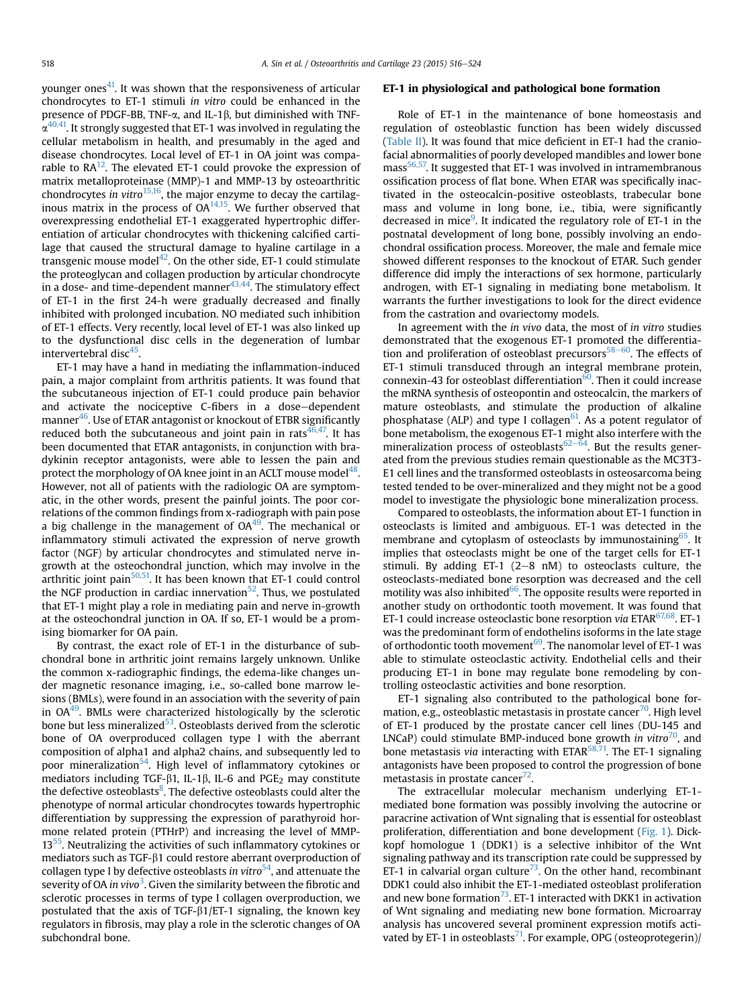younger ones<sup>41</sup>. It was shown that the responsiveness of articular chondrocytes to ET-1 stimuli in vitro could be enhanced in the presence of PDGF-BB, TNF- $\alpha$ , and IL-1 $\beta$ , but diminished with TNF- $\alpha^{40,41}$ . It strongly suggested that ET-1 was involved in regulating the cellular metabolism in health, and presumably in the aged and disease chondrocytes. Local level of ET-1 in OA joint was comparable to  $RA^{12}$ . The elevated ET-1 could provoke the expression of matrix metalloproteinase (MMP)-1 and MMP-13 by osteoarthritic chondrocytes in vitro $15,16$ , the major enzyme to decay the cartilaginous matrix in the process of  $OA^{14,15}$ . We further observed that overexpressing endothelial ET-1 exaggerated hypertrophic differentiation of articular chondrocytes with thickening calcified cartilage that caused the structural damage to hyaline cartilage in a transgenic mouse model $42$ . On the other side, ET-1 could stimulate the proteoglycan and collagen production by articular chondrocyte in a dose- and time-dependent manner  $43,44$ . The stimulatory effect of ET-1 in the first 24-h were gradually decreased and finally inhibited with prolonged incubation. NO mediated such inhibition of ET-1 effects. Very recently, local level of ET-1 was also linked up to the dysfunctional disc cells in the degeneration of lumbar intervertebral disc $45$ .

ET-1 may have a hand in mediating the inflammation-induced pain, a major complaint from arthritis patients. It was found that the subcutaneous injection of ET-1 could produce pain behavior and activate the nociceptive C-fibers in a dose-dependent manner<sup>46</sup>. Use of ETAR antagonist or knockout of ETBR significantly reduced both the subcutaneous and joint pain in rats $46,47$ . It has been documented that ETAR antagonists, in conjunction with bradykinin receptor antagonists, were able to lessen the pain and protect the morphology of OA knee joint in an ACLT mouse model $^{48}$ . However, not all of patients with the radiologic OA are symptomatic, in the other words, present the painful joints. The poor correlations of the common findings from x-radiograph with pain pose a big challenge in the management of  $OA<sup>49</sup>$ . The mechanical or inflammatory stimuli activated the expression of nerve growth factor (NGF) by articular chondrocytes and stimulated nerve ingrowth at the osteochondral junction, which may involve in the arthritic joint pain $50,51$ . It has been known that ET-1 could control the NGF production in cardiac innervation<sup>[52](#page-6-0)</sup>. Thus, we postulated that ET-1 might play a role in mediating pain and nerve in-growth at the osteochondral junction in OA. If so, ET-1 would be a promising biomarker for OA pain.

By contrast, the exact role of ET-1 in the disturbance of subchondral bone in arthritic joint remains largely unknown. Unlike the common x-radiographic findings, the edema-like changes under magnetic resonance imaging, i.e., so-called bone marrow lesions (BMLs), were found in an association with the severity of pain in OA[49](#page-6-0). BMLs were characterized histologically by the sclerotic bone but less mineralized<sup>[53](#page-6-0)</sup>. Osteoblasts derived from the sclerotic bone of OA overproduced collagen type I with the aberrant composition of alpha1 and alpha2 chains, and subsequently led to poor mineralization<sup>54</sup>. High level of inflammatory cytokines or mediators including TGF- $\beta$ 1, IL-1 $\beta$ , IL-6 and PGE<sub>2</sub> may constitute the defective osteoblasts<sup>[8](#page-5-0)</sup>. The defective osteoblasts could alter the phenotype of normal articular chondrocytes towards hypertrophic differentiation by suppressing the expression of parathyroid hormone related protein (PTHrP) and increasing the level of MMP-13<sup>55</sup>. Neutralizing the activities of such inflammatory cytokines or mediators such as TGF- $\beta$ 1 could restore aberrant overproduction of collagen type I by defective osteoblasts in vitro<sup>54</sup>, and attenuate the severity of OA in vivo $^3$  $^3$ . Given the similarity between the fibrotic and sclerotic processes in terms of type I collagen overproduction, we postulated that the axis of TGF- $\beta$ 1/ET-1 signaling, the known key regulators in fibrosis, may play a role in the sclerotic changes of OA subchondral bone.

#### ET-1 in physiological and pathological bone formation

Role of ET-1 in the maintenance of bone homeostasis and regulation of osteoblastic function has been widely discussed ([Table II](#page-3-0)). It was found that mice deficient in ET-1 had the craniofacial abnormalities of poorly developed mandibles and lower bone mass<sup>56,57</sup>. It suggested that ET-1 was involved in intramembranous ossification process of flat bone. When ETAR was specifically inactivated in the osteocalcin-positive osteoblasts, trabecular bone mass and volume in long bone, i.e., tibia, were significantly decreased in mice<sup>[9](#page-5-0)</sup>. It indicated the regulatory role of ET-1 in the postnatal development of long bone, possibly involving an endochondral ossification process. Moreover, the male and female mice showed different responses to the knockout of ETAR. Such gender difference did imply the interactions of sex hormone, particularly androgen, with ET-1 signaling in mediating bone metabolism. It warrants the further investigations to look for the direct evidence from the castration and ovariectomy models.

In agreement with the in vivo data, the most of in vitro studies demonstrated that the exogenous ET-1 promoted the differentiation and proliferation of osteoblast precursors $58-60$  $58-60$ . The effects of ET-1 stimuli transduced through an integral membrane protein, connexin-43 for osteoblast differentiation $\overline{60}$  $\overline{60}$  $\overline{60}$ . Then it could increase the mRNA synthesis of osteopontin and osteocalcin, the markers of mature osteoblasts, and stimulate the production of alkaline phosphatase (ALP) and type I collagen $61$ . As a potent regulator of bone metabolism, the exogenous ET-1 might also interfere with the mineralization process of osteoblasts $62-64$  $62-64$  $62-64$ . But the results generated from the previous studies remain questionable as the MC3T3- E1 cell lines and the transformed osteoblasts in osteosarcoma being tested tended to be over-mineralized and they might not be a good model to investigate the physiologic bone mineralization process.

Compared to osteoblasts, the information about ET-1 function in osteoclasts is limited and ambiguous. ET-1 was detected in the membrane and cytoplasm of osteoclasts by immunostaining<sup>[65](#page-7-0)</sup>. It implies that osteoclasts might be one of the target cells for ET-1 stimuli. By adding ET-1  $(2-8 \text{ nM})$  to osteoclasts culture, the osteoclasts-mediated bone resorption was decreased and the cell motility was also inhibited $66$ . The opposite results were reported in another study on orthodontic tooth movement. It was found that ET-1 could increase osteoclastic bone resorption via ETAR $67,68$ . ET-1 was the predominant form of endothelins isoforms in the late stage of orthodontic tooth movement $69$ . The nanomolar level of ET-1 was able to stimulate osteoclastic activity. Endothelial cells and their producing ET-1 in bone may regulate bone remodeling by controlling osteoclastic activities and bone resorption.

ET-1 signaling also contributed to the pathological bone for-mation, e.g., osteoblastic metastasis in prostate cancer<sup>[70](#page-7-0)</sup>. High level of ET-1 produced by the prostate cancer cell lines (DU-145 and LNCaP) could stimulate BMP-induced bone growth in vitro<sup>70</sup>, and bone metastasis via interacting with ETAR<sup>58,71</sup>. The ET-1 signaling antagonists have been proposed to control the progression of bone metastasis in prostate cancer $\frac{72}{2}$ .

The extracellular molecular mechanism underlying ET-1 mediated bone formation was possibly involving the autocrine or paracrine activation of Wnt signaling that is essential for osteoblast proliferation, differentiation and bone development [\(Fig. 1](#page-4-0)). Dickkopf homologue 1 (DDK1) is a selective inhibitor of the Wnt signaling pathway and its transcription rate could be suppressed by ET-1 in calvarial organ culture<sup>73</sup>. On the other hand, recombinant DDK1 could also inhibit the ET-1-mediated osteoblast proliferation and new bone formation<sup>73</sup>. ET-1 interacted with DKK1 in activation of Wnt signaling and mediating new bone formation. Microarray analysis has uncovered several prominent expression motifs activated by ET-1 in osteoblasts<sup>71</sup>. For example, OPG (osteoprotegerin)/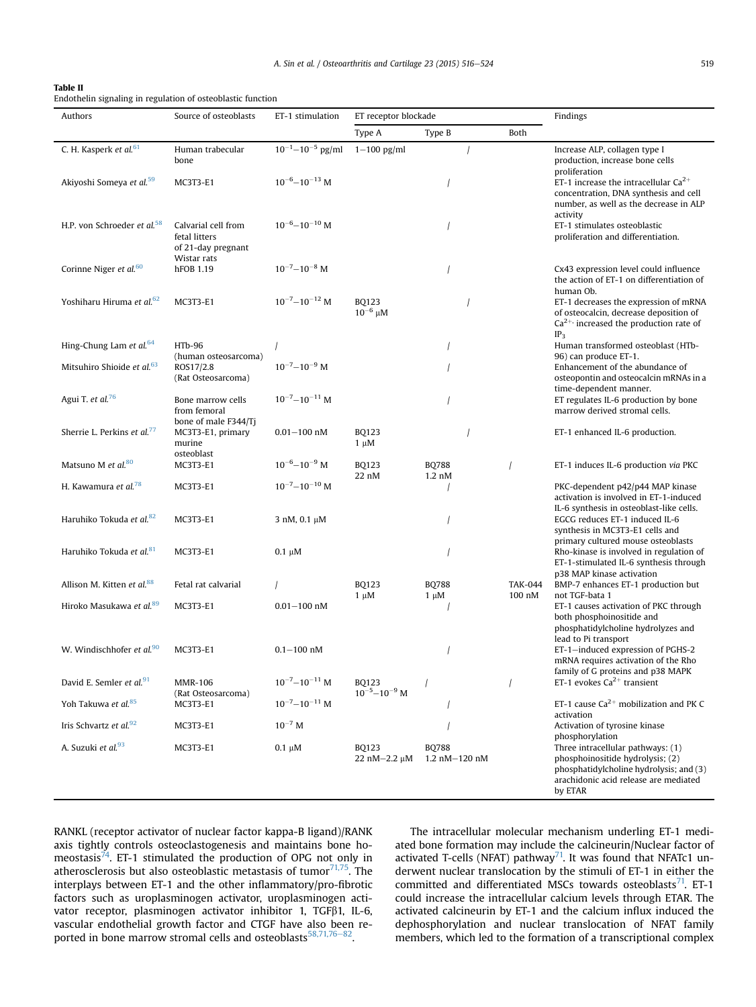# <span id="page-3-0"></span>Table II

Endothelin signaling in regulation of osteoblastic function

| Authors                                 | Source of osteoblasts                                                     | ET-1 stimulation              | ET receptor blockade                |                                    |                          | Findings                                                                                                                                                             |
|-----------------------------------------|---------------------------------------------------------------------------|-------------------------------|-------------------------------------|------------------------------------|--------------------------|----------------------------------------------------------------------------------------------------------------------------------------------------------------------|
|                                         |                                                                           |                               | Type A                              | Type B                             | Both                     |                                                                                                                                                                      |
| C. H. Kasperk et al. <sup>61</sup>      | Human trabecular<br>bone                                                  | $10^{-1} - 10^{-5}$ pg/ml     | $1-100$ pg/ml                       |                                    |                          | Increase ALP, collagen type I<br>production, increase bone cells<br>proliferation                                                                                    |
| Akiyoshi Someya et al. <sup>59</sup>    | <b>MC3T3-E1</b>                                                           | $10^{-6} - 10^{-13}$ M        |                                     |                                    |                          | ET-1 increase the intracellular $Ca^{2+}$<br>concentration, DNA synthesis and cell<br>number, as well as the decrease in ALP<br>activity                             |
| H.P. von Schroeder et al. <sup>58</sup> | Calvarial cell from<br>fetal litters<br>of 21-day pregnant<br>Wistar rats | $10^{-6} - 10^{-10}$ M        |                                     |                                    |                          | ET-1 stimulates osteoblastic<br>proliferation and differentiation.                                                                                                   |
| Corinne Niger et al. <sup>60</sup>      | hFOB 1.19                                                                 | $10^{-7}$ -10 <sup>-8</sup> M |                                     |                                    |                          | Cx43 expression level could influence<br>the action of ET-1 on differentiation of<br>human Ob.                                                                       |
| Yoshiharu Hiruma et al. <sup>62</sup>   | <b>MC3T3-E1</b>                                                           | $10^{-7} - 10^{-12}$ M        | BO123<br>$10^{-6}$ $\mu$ M          |                                    |                          | ET-1 decreases the expression of mRNA<br>of osteocalcin, decrease deposition of<br>$Ca2+$ increased the production rate of<br>IP <sub>3</sub>                        |
| Hing-Chung Lam et al. <sup>64</sup>     | <b>HTb-96</b><br>(human osteosarcoma)                                     |                               |                                     |                                    |                          | Human transformed osteoblast (HTb-<br>96) can produce ET-1.                                                                                                          |
| Mitsuhiro Shioide et al. <sup>63</sup>  | ROS17/2.8<br>(Rat Osteosarcoma)                                           | $10^{-7} - 10^{-9}$ M         |                                     |                                    |                          | Enhancement of the abundance of<br>osteopontin and osteocalcin mRNAs in a<br>time-dependent manner.                                                                  |
| Agui T. et al. <sup>76</sup>            | Bone marrow cells<br>from femoral<br>bone of male F344/Ti                 | $10^{-7} - 10^{-11}$ M        |                                     |                                    |                          | ET regulates IL-6 production by bone<br>marrow derived stromal cells.                                                                                                |
| Sherrie L. Perkins et al. <sup>77</sup> | MC3T3-E1, primary<br>murine<br>osteoblast                                 | $0.01 - 100$ nM               | <b>BQ123</b><br>$1 \mu M$           |                                    |                          | ET-1 enhanced IL-6 production.                                                                                                                                       |
| Matsuno M et al.80                      | <b>MC3T3-E1</b>                                                           | $10^{-6} - 10^{-9}$ M         | <b>BQ123</b><br>22 nM               | <b>BQ788</b><br>$1.2 \text{ nM}$   |                          | ET-1 induces IL-6 production via PKC                                                                                                                                 |
| H. Kawamura et al. <sup>78</sup>        | <b>MC3T3-E1</b>                                                           | $10^{-7} - 10^{-10}$ M        |                                     |                                    |                          | PKC-dependent p42/p44 MAP kinase<br>activation is involved in ET-1-induced<br>IL-6 synthesis in osteoblast-like cells.                                               |
| Haruhiko Tokuda et al. <sup>82</sup>    | <b>MC3T3-E1</b>                                                           | 3 nM, 0.1 µM                  |                                     |                                    |                          | EGCG reduces ET-1 induced IL-6<br>synthesis in MC3T3-E1 cells and<br>primary cultured mouse osteoblasts                                                              |
| Haruhiko Tokuda et al. <sup>81</sup>    | <b>MC3T3-E1</b>                                                           | $0.1 \mu M$                   |                                     |                                    |                          | Rho-kinase is involved in regulation of<br>ET-1-stimulated IL-6 synthesis through<br>p38 MAP kinase activation                                                       |
| Allison M. Kitten et al. <sup>88</sup>  | Fetal rat calvarial                                                       |                               | <b>BQ123</b><br>$1 \mu M$           | <b>BQ788</b><br>$1 \mu M$          | <b>TAK-044</b><br>100 nM | BMP-7 enhances ET-1 production but<br>not TGF-bata 1                                                                                                                 |
| Hiroko Masukawa et al. <sup>89</sup>    | <b>MC3T3-E1</b>                                                           | $0.01 - 100$ nM               |                                     |                                    |                          | ET-1 causes activation of PKC through<br>both phosphoinositide and<br>phosphatidylcholine hydrolyzes and<br>lead to Pi transport                                     |
| W. Windischhofer et al. <sup>90</sup>   | <b>MC3T3-E1</b>                                                           | $0.1 - 100$ nM                |                                     |                                    |                          | ET-1-induced expression of PGHS-2<br>mRNA requires activation of the Rho<br>family of G proteins and p38 MAPK                                                        |
| David E. Semler et al. <sup>91</sup>    | <b>MMR-106</b><br>(Rat Osteosarcoma)                                      | $10^{-7}-10^{-11}$ M          | <b>BQ123</b><br>$10^{-5}-10^{-9}$ M |                                    | $\overline{1}$           | ET-1 evokes $Ca^{2+}$ transient                                                                                                                                      |
| Yoh Takuwa et al. <sup>85</sup>         | <b>MC3T3-E1</b>                                                           | $10^{-7} - 10^{-11}$ M        |                                     |                                    |                          | ET-1 cause $Ca^{2+}$ mobilization and PK C<br>activation                                                                                                             |
| Iris Schvartz et al. $92$               | <b>MC3T3-E1</b>                                                           | $10^{-7}$ M                   |                                     |                                    |                          | Activation of tyrosine kinase<br>phosphorylation                                                                                                                     |
| A. Suzuki et al. <sup>93</sup>          | <b>MC3T3-E1</b>                                                           | $0.1 \mu M$                   | <b>BQ123</b><br>$22 nM - 2.2 \mu M$ | <b>BQ788</b><br>$1.2$ nM $-120$ nM |                          | Three intracellular pathways: (1)<br>phosphoinositide hydrolysis; (2)<br>phosphatidylcholine hydrolysis; and (3)<br>arachidonic acid release are mediated<br>by ETAR |

RANKL (receptor activator of nuclear factor kappa-B ligand)/RANK axis tightly controls osteoclastogenesis and maintains bone homeostasis $\frac{74}{7}$  $\frac{74}{7}$  $\frac{74}{7}$ . ET-1 stimulated the production of OPG not only in atherosclerosis but also osteoblastic metastasis of tumor $71,75$ . The interplays between ET-1 and the other inflammatory/pro-fibrotic factors such as uroplasminogen activator, uroplasminogen activator receptor, plasminogen activator inhibitor 1, TGFß1, IL-6, vascular endothelial growth factor and CTGF have also been re-ported in bone marrow stromal cells and osteoblasts<sup>[58,71,76](#page-7-0)-82</sup>.

The intracellular molecular mechanism underling ET-1 mediated bone formation may include the calcineurin/Nuclear factor of activated T-cells (NFAT) pathway<sup>71</sup>. It was found that NFATc1 underwent nuclear translocation by the stimuli of ET-1 in either the committed and differentiated MSCs towards osteoblasts $^{71}$ . ET-1 could increase the intracellular calcium levels through ETAR. The activated calcineurin by ET-1 and the calcium influx induced the dephosphorylation and nuclear translocation of NFAT family members, which led to the formation of a transcriptional complex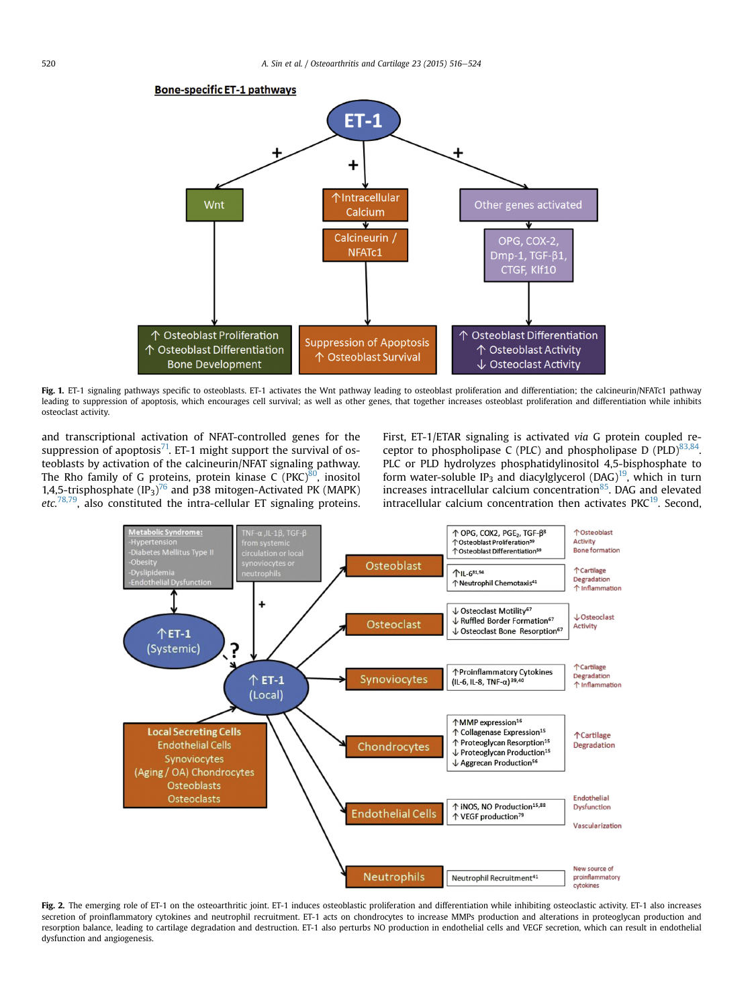<span id="page-4-0"></span>

Fig. 1. ET-1 signaling pathways specific to osteoblasts. ET-1 activates the Wnt pathway leading to osteoblast proliferation and differentiation; the calcineurin/NFATc1 pathway leading to suppression of apoptosis, which encourages cell survival; as well as other genes, that together increases osteoblast proliferation and differentiation while inhibits osteoclast activity.

and transcriptional activation of NFAT-controlled genes for the suppression of apoptosis $^{71}$ . ET-1 might support the survival of osteoblasts by activation of the calcineurin/NFAT signaling pathway. The Rho family of G proteins, protein kinase  $C (PKC)^{80}$  $C (PKC)^{80}$  $C (PKC)^{80}$ , inositol 1,4,5-trisphosphate  $(IP_3)^{76}$  $(IP_3)^{76}$  $(IP_3)^{76}$  and p38 mitogen-Activated PK (MAPK) etc.<sup>78,79</sup>, also constituted the intra-cellular ET signaling proteins.

First, ET-1/ETAR signaling is activated via G protein coupled receptor to phospholipase C (PLC) and phospholipase D (PLD) $83,84$ . PLC or PLD hydrolyzes phosphatidylinositol 4,5-bisphosphate to form water-soluble IP<sub>3</sub> and diacylglycerol (DAG)<sup>19</sup>, which in turn increases intracellular calcium concentration $85$ . DAG and elevated intracellular calcium concentration then activates PKC $19$ . Second.



Fig. 2. The emerging role of ET-1 on the osteoarthritic joint. ET-1 induces osteoblastic proliferation and differentiation while inhibiting osteoclastic activity. ET-1 also increases secretion of proinflammatory cytokines and neutrophil recruitment. ET-1 acts on chondrocytes to increase MMPs production and alterations in proteoglycan production and resorption balance, leading to cartilage degradation and destruction. ET-1 also perturbs NO production in endothelial cells and VEGF secretion, which can result in endothelial dysfunction and angiogenesis.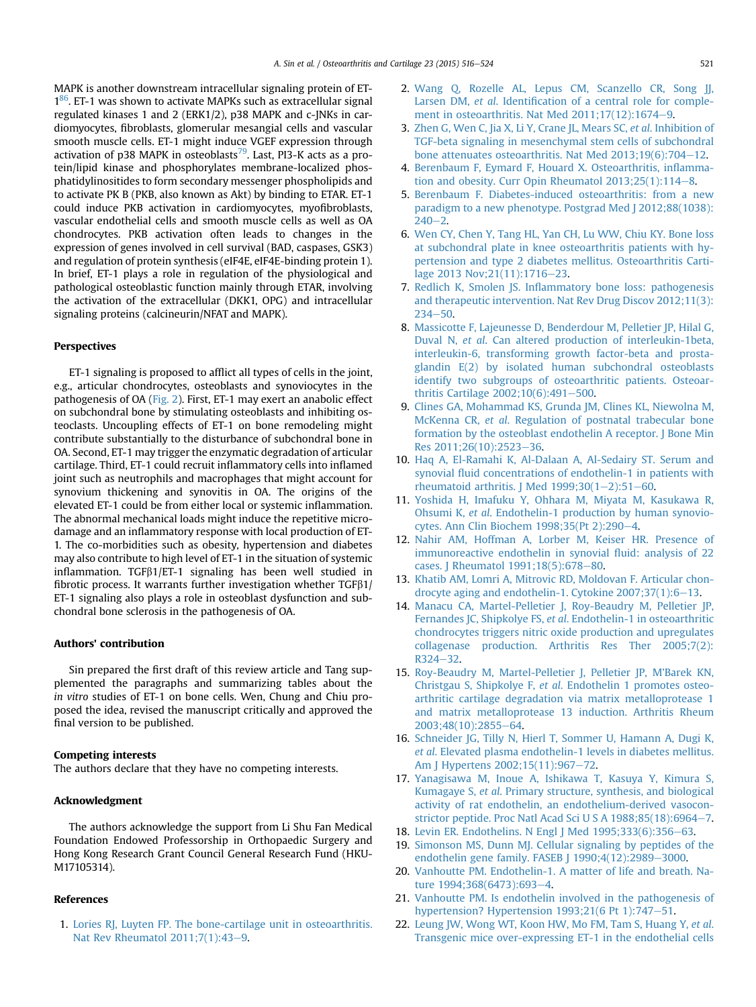<span id="page-5-0"></span>MAPK is another downstream intracellular signaling protein of ET- $1<sup>86</sup>$ . ET-1 was shown to activate MAPKs such as extracellular signal regulated kinases 1 and 2 (ERK1/2), p38 MAPK and c-JNKs in cardiomyocytes, fibroblasts, glomerular mesangial cells and vascular smooth muscle cells. ET-1 might induce VGEF expression through activation of p38 MAPK in osteoblasts<sup>79</sup>. Last, PI3-K acts as a protein/lipid kinase and phosphorylates membrane-localized phosphatidylinositides to form secondary messenger phospholipids and to activate PK B (PKB, also known as Akt) by binding to ETAR. ET-1 could induce PKB activation in cardiomyocytes, myofibroblasts, vascular endothelial cells and smooth muscle cells as well as OA chondrocytes. PKB activation often leads to changes in the expression of genes involved in cell survival (BAD, caspases, GSK3) and regulation of protein synthesis (eIF4E, eIF4E-binding protein 1). In brief, ET-1 plays a role in regulation of the physiological and pathological osteoblastic function mainly through ETAR, involving the activation of the extracellular (DKK1, OPG) and intracellular signaling proteins (calcineurin/NFAT and MAPK).

#### Perspectives

ET-1 signaling is proposed to afflict all types of cells in the joint, e.g., articular chondrocytes, osteoblasts and synoviocytes in the pathogenesis of OA [\(Fig. 2](#page-4-0)). First, ET-1 may exert an anabolic effect on subchondral bone by stimulating osteoblasts and inhibiting osteoclasts. Uncoupling effects of ET-1 on bone remodeling might contribute substantially to the disturbance of subchondral bone in OA. Second, ET-1 may trigger the enzymatic degradation of articular cartilage. Third, ET-1 could recruit inflammatory cells into inflamed joint such as neutrophils and macrophages that might account for synovium thickening and synovitis in OA. The origins of the elevated ET-1 could be from either local or systemic inflammation. The abnormal mechanical loads might induce the repetitive microdamage and an inflammatory response with local production of ET-1. The co-morbidities such as obesity, hypertension and diabetes may also contribute to high level of ET-1 in the situation of systemic inflammation. TGF $\beta$ 1/ET-1 signaling has been well studied in fibrotic process. It warrants further investigation whether  $TGF\beta1/$ ET-1 signaling also plays a role in osteoblast dysfunction and subchondral bone sclerosis in the pathogenesis of OA.

### Authors' contribution

Sin prepared the first draft of this review article and Tang supplemented the paragraphs and summarizing tables about the in vitro studies of ET-1 on bone cells. Wen, Chung and Chiu proposed the idea, revised the manuscript critically and approved the final version to be published.

# Competing interests

The authors declare that they have no competing interests.

#### Acknowledgment

The authors acknowledge the support from Li Shu Fan Medical Foundation Endowed Professorship in Orthopaedic Surgery and Hong Kong Research Grant Council General Research Fund (HKU-M17105314).

# References

1. [Lories RJ, Luyten FP. The bone-cartilage unit in osteoarthritis.](http://refhub.elsevier.com/S1063-4584(14)01311-9/sref1) Nat Rev Rheumatol  $2011;7(1):43-9$ .

- 2. [Wang Q, Rozelle AL, Lepus CM, Scanzello CR, Song JJ,](http://refhub.elsevier.com/S1063-4584(14)01311-9/sref2) Larsen DM, et al. Identifi[cation of a central role for comple](http://refhub.elsevier.com/S1063-4584(14)01311-9/sref2)ment in osteoarthritis. Nat Med  $2011;17(12):1674-9$  $2011;17(12):1674-9$ .
- 3. [Zhen G, Wen C, Jia X, Li Y, Crane JL, Mears SC,](http://refhub.elsevier.com/S1063-4584(14)01311-9/sref3) et al. Inhibition of [TGF-beta signaling in mesenchymal stem cells of subchondral](http://refhub.elsevier.com/S1063-4584(14)01311-9/sref3) bone attenuates osteoarthritis. Nat Med  $2013;19(6);704-12$  $2013;19(6);704-12$ .
- 4. [Berenbaum F, Eymard F, Houard X. Osteoarthritis, in](http://refhub.elsevier.com/S1063-4584(14)01311-9/sref4)flammation and obesity. Curr Opin Rheumatol  $2013:25(1):114-8$ .
- 5. [Berenbaum F. Diabetes-induced osteoarthritis: from a new](http://refhub.elsevier.com/S1063-4584(14)01311-9/sref5) [paradigm to a new phenotype. Postgrad Med J 2012;88\(1038\):](http://refhub.elsevier.com/S1063-4584(14)01311-9/sref5)  $240 - 2.$  $240 - 2.$  $240 - 2.$
- 6. [Wen CY, Chen Y, Tang HL, Yan CH, Lu WW, Chiu KY. Bone loss](http://refhub.elsevier.com/S1063-4584(14)01311-9/sref6) [at subchondral plate in knee osteoarthritis patients with hy](http://refhub.elsevier.com/S1063-4584(14)01311-9/sref6)[pertension and type 2 diabetes mellitus. Osteoarthritis Carti-](http://refhub.elsevier.com/S1063-4584(14)01311-9/sref6)lage 2013 Nov; 21(11): 1716-[23](http://refhub.elsevier.com/S1063-4584(14)01311-9/sref6).
- 7. Redlich K, Smolen JS. Infl[ammatory bone loss: pathogenesis](http://refhub.elsevier.com/S1063-4584(14)01311-9/sref7) [and therapeutic intervention. Nat Rev Drug Discov 2012;11\(3\):](http://refhub.elsevier.com/S1063-4584(14)01311-9/sref7)  $234 - 50$  $234 - 50$
- 8. [Massicotte F, Lajeunesse D, Benderdour M, Pelletier JP, Hilal G,](http://refhub.elsevier.com/S1063-4584(14)01311-9/sref8) Duval N, et al[. Can altered production of interleukin-1beta,](http://refhub.elsevier.com/S1063-4584(14)01311-9/sref8) [interleukin-6, transforming growth factor-beta and prosta](http://refhub.elsevier.com/S1063-4584(14)01311-9/sref8)[glandin E\(2\) by isolated human subchondral osteoblasts](http://refhub.elsevier.com/S1063-4584(14)01311-9/sref8) [identify two subgroups of osteoarthritic patients. Osteoar](http://refhub.elsevier.com/S1063-4584(14)01311-9/sref8)thritis Cartilage  $2002;10(6):491-500$  $2002;10(6):491-500$ .
- 9. [Clines GA, Mohammad KS, Grunda JM, Clines KL, Niewolna M,](http://refhub.elsevier.com/S1063-4584(14)01311-9/sref9) McKenna CR, et al[. Regulation of postnatal trabecular bone](http://refhub.elsevier.com/S1063-4584(14)01311-9/sref9) [formation by the osteoblast endothelin A receptor. J Bone Min](http://refhub.elsevier.com/S1063-4584(14)01311-9/sref9) Res 2011:26(10):2523-[36.](http://refhub.elsevier.com/S1063-4584(14)01311-9/sref9)
- 10. [Haq A, El-Ramahi K, Al-Dalaan A, Al-Sedairy ST. Serum and](http://refhub.elsevier.com/S1063-4584(14)01311-9/sref10) synovial fl[uid concentrations of endothelin-1 in patients with](http://refhub.elsevier.com/S1063-4584(14)01311-9/sref10) rheumatoid arthritis. J Med  $1999;30(1-2):51-60$  $1999;30(1-2):51-60$  $1999;30(1-2):51-60$  $1999;30(1-2):51-60$ .
- 11. [Yoshida H, Imafuku Y, Ohhara M, Miyata M, Kasukawa R,](http://refhub.elsevier.com/S1063-4584(14)01311-9/sref11) Ohsumi K, et al[. Endothelin-1 production by human synovio](http://refhub.elsevier.com/S1063-4584(14)01311-9/sref11)[cytes. Ann Clin Biochem 1998;35\(Pt 2\):290](http://refhub.elsevier.com/S1063-4584(14)01311-9/sref11)-[4.](http://refhub.elsevier.com/S1063-4584(14)01311-9/sref11)
- 12. [Nahir AM, Hoffman A, Lorber M, Keiser HR. Presence of](http://refhub.elsevier.com/S1063-4584(14)01311-9/sref12) [immunoreactive endothelin in synovial](http://refhub.elsevier.com/S1063-4584(14)01311-9/sref12) fluid: analysis of 22 [cases. J Rheumatol 1991;18\(5\):678](http://refhub.elsevier.com/S1063-4584(14)01311-9/sref12)-[80](http://refhub.elsevier.com/S1063-4584(14)01311-9/sref12).
- 13. [Khatib AM, Lomri A, Mitrovic RD, Moldovan F. Articular chon](http://refhub.elsevier.com/S1063-4584(14)01311-9/sref13)drocyte aging and endothelin-1. Cytokine  $2007;37(1):6-13$  $2007;37(1):6-13$ .
- 14. [Manacu CA, Martel-Pelletier J, Roy-Beaudry M, Pelletier JP,](http://refhub.elsevier.com/S1063-4584(14)01311-9/sref14) Fernandes JC, Shipkolye FS, et al[. Endothelin-1 in osteoarthritic](http://refhub.elsevier.com/S1063-4584(14)01311-9/sref14) [chondrocytes triggers nitric oxide production and upregulates](http://refhub.elsevier.com/S1063-4584(14)01311-9/sref14) [collagenase production. Arthritis Res Ther 2005;7\(2\):](http://refhub.elsevier.com/S1063-4584(14)01311-9/sref14)  $R324 - 32.$  $R324 - 32.$  $R324 - 32.$
- 15. [Roy-Beaudry M, Martel-Pelletier J, Pelletier JP, M'Barek KN,](http://refhub.elsevier.com/S1063-4584(14)01311-9/sref15) Christgau S, Shipkolye F, et al[. Endothelin 1 promotes osteo](http://refhub.elsevier.com/S1063-4584(14)01311-9/sref15)[arthritic cartilage degradation via matrix metalloprotease 1](http://refhub.elsevier.com/S1063-4584(14)01311-9/sref15) [and matrix metalloprotease 13 induction. Arthritis Rheum](http://refhub.elsevier.com/S1063-4584(14)01311-9/sref15) [2003;48\(10\):2855](http://refhub.elsevier.com/S1063-4584(14)01311-9/sref15)-[64](http://refhub.elsevier.com/S1063-4584(14)01311-9/sref15).
- 16. [Schneider JG, Tilly N, Hierl T, Sommer U, Hamann A, Dugi K,](http://refhub.elsevier.com/S1063-4584(14)01311-9/sref16) et al[. Elevated plasma endothelin-1 levels in diabetes mellitus.](http://refhub.elsevier.com/S1063-4584(14)01311-9/sref16) [Am J Hypertens 2002;15\(11\):967](http://refhub.elsevier.com/S1063-4584(14)01311-9/sref16)-[72](http://refhub.elsevier.com/S1063-4584(14)01311-9/sref16).
- 17. [Yanagisawa M, Inoue A, Ishikawa T, Kasuya Y, Kimura S,](http://refhub.elsevier.com/S1063-4584(14)01311-9/sref17) Kumagaye S, et al[. Primary structure, synthesis, and biological](http://refhub.elsevier.com/S1063-4584(14)01311-9/sref17) [activity of rat endothelin, an endothelium-derived vasocon](http://refhub.elsevier.com/S1063-4584(14)01311-9/sref17)[strictor peptide. Proc Natl Acad Sci U S A 1988;85\(18\):6964](http://refhub.elsevier.com/S1063-4584(14)01311-9/sref17)-[7.](http://refhub.elsevier.com/S1063-4584(14)01311-9/sref17)
- 18. [Levin ER. Endothelins. N Engl J Med 1995;333\(6\):356](http://refhub.elsevier.com/S1063-4584(14)01311-9/sref18)-[63.](http://refhub.elsevier.com/S1063-4584(14)01311-9/sref18)
- 19. [Simonson MS, Dunn MJ. Cellular signaling by peptides of the](http://refhub.elsevier.com/S1063-4584(14)01311-9/sref19) endothelin gene family. FASEB  $J$  1990;4(12):2989-[3000.](http://refhub.elsevier.com/S1063-4584(14)01311-9/sref19)
- 20. [Vanhoutte PM. Endothelin-1. A matter of life and breath. Na](http://refhub.elsevier.com/S1063-4584(14)01311-9/sref20)[ture 1994;368\(6473\):693](http://refhub.elsevier.com/S1063-4584(14)01311-9/sref20)-[4](http://refhub.elsevier.com/S1063-4584(14)01311-9/sref20).
- 21. [Vanhoutte PM. Is endothelin involved in the pathogenesis of](http://refhub.elsevier.com/S1063-4584(14)01311-9/sref21) hypertension? Hypertension  $1993;21(6$  Pt  $1):747-51$ .
- 22. [Leung JW, Wong WT, Koon HW, Mo FM, Tam S, Huang Y,](http://refhub.elsevier.com/S1063-4584(14)01311-9/sref22) et al. [Transgenic mice over-expressing ET-1 in the endothelial cells](http://refhub.elsevier.com/S1063-4584(14)01311-9/sref22)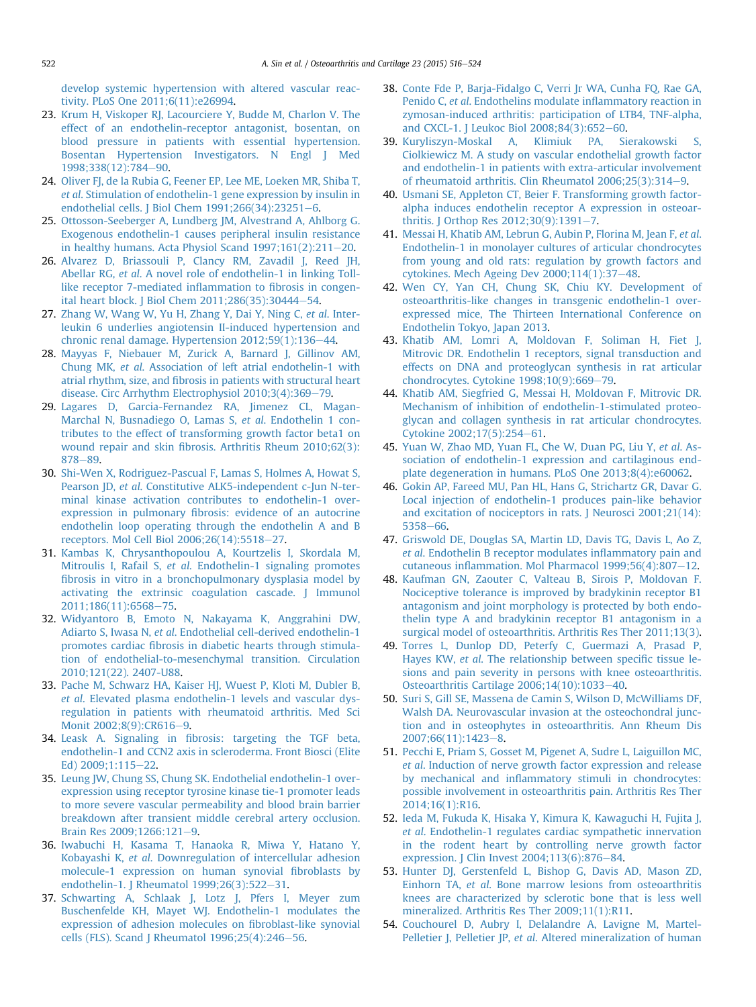<span id="page-6-0"></span>[develop systemic hypertension with altered vascular reac](http://refhub.elsevier.com/S1063-4584(14)01311-9/sref22)[tivity. PLoS One 2011;6\(11\):e26994.](http://refhub.elsevier.com/S1063-4584(14)01311-9/sref22)

- 23. [Krum H, Viskoper RJ, Lacourciere Y, Budde M, Charlon V. The](http://refhub.elsevier.com/S1063-4584(14)01311-9/sref23) [effect of an endothelin-receptor antagonist, bosentan, on](http://refhub.elsevier.com/S1063-4584(14)01311-9/sref23) [blood pressure in patients with essential hypertension.](http://refhub.elsevier.com/S1063-4584(14)01311-9/sref23) [Bosentan Hypertension Investigators. N Engl J Med](http://refhub.elsevier.com/S1063-4584(14)01311-9/sref23) [1998;338\(12\):784](http://refhub.elsevier.com/S1063-4584(14)01311-9/sref23)-[90](http://refhub.elsevier.com/S1063-4584(14)01311-9/sref23).
- 24. Oliver FI, de la Rubia G, Feener EP, Lee ME, Loeken MR, Shiba T, et al[. Stimulation of endothelin-1 gene expression by insulin in](http://refhub.elsevier.com/S1063-4584(14)01311-9/sref24) [endothelial cells. J Biol Chem 1991;266\(34\):23251](http://refhub.elsevier.com/S1063-4584(14)01311-9/sref24)-[6.](http://refhub.elsevier.com/S1063-4584(14)01311-9/sref24)
- 25. [Ottosson-Seeberger A, Lundberg JM, Alvestrand A, Ahlborg G.](http://refhub.elsevier.com/S1063-4584(14)01311-9/sref25) [Exogenous endothelin-1 causes peripheral insulin resistance](http://refhub.elsevier.com/S1063-4584(14)01311-9/sref25) in healthy humans. Acta Physiol Scand  $1997;161(2):211-20$ .
- 26. [Alvarez D, Briassouli P, Clancy RM, Zavadil J, Reed JH,](http://refhub.elsevier.com/S1063-4584(14)01311-9/sref26) Abellar RG, et al[. A novel role of endothelin-1 in linking Toll](http://refhub.elsevier.com/S1063-4584(14)01311-9/sref26)[like receptor 7-mediated in](http://refhub.elsevier.com/S1063-4584(14)01311-9/sref26)flammation to fibrosis in congen[ital heart block. J Biol Chem 2011;286\(35\):30444](http://refhub.elsevier.com/S1063-4584(14)01311-9/sref26)-[54](http://refhub.elsevier.com/S1063-4584(14)01311-9/sref26).
- 27. [Zhang W, Wang W, Yu H, Zhang Y, Dai Y, Ning C,](http://refhub.elsevier.com/S1063-4584(14)01311-9/sref27) et al. Inter[leukin 6 underlies angiotensin II-induced hypertension and](http://refhub.elsevier.com/S1063-4584(14)01311-9/sref27) chronic renal damage. Hypertension  $2012;59(1):136-44$  $2012;59(1):136-44$ .
- 28. [Mayyas F, Niebauer M, Zurick A, Barnard J, Gillinov AM,](http://refhub.elsevier.com/S1063-4584(14)01311-9/sref28) Chung MK, et al[. Association of left atrial endothelin-1 with](http://refhub.elsevier.com/S1063-4584(14)01311-9/sref28) atrial rhythm, size, and fi[brosis in patients with structural heart](http://refhub.elsevier.com/S1063-4584(14)01311-9/sref28) [disease. Circ Arrhythm Electrophysiol 2010;3\(4\):369](http://refhub.elsevier.com/S1063-4584(14)01311-9/sref28)-[79.](http://refhub.elsevier.com/S1063-4584(14)01311-9/sref28)
- 29. [Lagares D, Garcia-Fernandez RA, Jimenez CL, Magan-](http://refhub.elsevier.com/S1063-4584(14)01311-9/sref29)[Marchal N, Busnadiego O, Lamas S,](http://refhub.elsevier.com/S1063-4584(14)01311-9/sref29) et al. Endothelin 1 con[tributes to the effect of transforming growth factor beta1 on](http://refhub.elsevier.com/S1063-4584(14)01311-9/sref29) wound repair and skin fi[brosis. Arthritis Rheum 2010;62\(3\):](http://refhub.elsevier.com/S1063-4584(14)01311-9/sref29) [878](http://refhub.elsevier.com/S1063-4584(14)01311-9/sref29)-[89](http://refhub.elsevier.com/S1063-4584(14)01311-9/sref29).
- 30. [Shi-Wen X, Rodriguez-Pascual F, Lamas S, Holmes A, Howat S,](http://refhub.elsevier.com/S1063-4584(14)01311-9/sref30) Pearson JD, et al[. Constitutive ALK5-independent c-Jun N-ter](http://refhub.elsevier.com/S1063-4584(14)01311-9/sref30)[minal kinase activation contributes to endothelin-1 over](http://refhub.elsevier.com/S1063-4584(14)01311-9/sref30)expression in pulmonary fi[brosis: evidence of an autocrine](http://refhub.elsevier.com/S1063-4584(14)01311-9/sref30) [endothelin loop operating through the endothelin A and B](http://refhub.elsevier.com/S1063-4584(14)01311-9/sref30) [receptors. Mol Cell Biol 2006;26\(14\):5518](http://refhub.elsevier.com/S1063-4584(14)01311-9/sref30)-[27](http://refhub.elsevier.com/S1063-4584(14)01311-9/sref30).
- 31. [Kambas K, Chrysanthopoulou A, Kourtzelis I, Skordala M,](http://refhub.elsevier.com/S1063-4584(14)01311-9/sref31) Mitroulis I, Rafail S, et al[. Endothelin-1 signaling promotes](http://refhub.elsevier.com/S1063-4584(14)01311-9/sref31) fi[brosis in vitro in a bronchopulmonary dysplasia model by](http://refhub.elsevier.com/S1063-4584(14)01311-9/sref31) [activating the extrinsic coagulation cascade. J Immunol](http://refhub.elsevier.com/S1063-4584(14)01311-9/sref31) [2011;186\(11\):6568](http://refhub.elsevier.com/S1063-4584(14)01311-9/sref31)-[75](http://refhub.elsevier.com/S1063-4584(14)01311-9/sref31).
- 32. [Widyantoro B, Emoto N, Nakayama K, Anggrahini DW,](http://refhub.elsevier.com/S1063-4584(14)01311-9/sref32) Adiarto S, Iwasa N, et al[. Endothelial cell-derived endothelin-1](http://refhub.elsevier.com/S1063-4584(14)01311-9/sref32) promotes cardiac fi[brosis in diabetic hearts through stimula](http://refhub.elsevier.com/S1063-4584(14)01311-9/sref32)[tion of endothelial-to-mesenchymal transition. Circulation](http://refhub.elsevier.com/S1063-4584(14)01311-9/sref32) [2010;121\(22\). 2407-U88](http://refhub.elsevier.com/S1063-4584(14)01311-9/sref32).
- 33. [Pache M, Schwarz HA, Kaiser HJ, Wuest P, Kloti M, Dubler B,](http://refhub.elsevier.com/S1063-4584(14)01311-9/sref33) et al[. Elevated plasma endothelin-1 levels and vascular dys](http://refhub.elsevier.com/S1063-4584(14)01311-9/sref33)[regulation in patients with rheumatoid arthritis. Med Sci](http://refhub.elsevier.com/S1063-4584(14)01311-9/sref33) [Monit 2002;8\(9\):CR616](http://refhub.elsevier.com/S1063-4584(14)01311-9/sref33)-[9](http://refhub.elsevier.com/S1063-4584(14)01311-9/sref33).
- 34. Leask A. Signaling in fi[brosis: targeting the TGF beta,](http://refhub.elsevier.com/S1063-4584(14)01311-9/sref34) [endothelin-1 and CCN2 axis in scleroderma. Front Biosci \(Elite](http://refhub.elsevier.com/S1063-4584(14)01311-9/sref34) [Ed\) 2009;1:115](http://refhub.elsevier.com/S1063-4584(14)01311-9/sref34)-[22.](http://refhub.elsevier.com/S1063-4584(14)01311-9/sref34)
- 35. [Leung JW, Chung SS, Chung SK. Endothelial endothelin-1 over](http://refhub.elsevier.com/S1063-4584(14)01311-9/sref35)[expression using receptor tyrosine kinase tie-1 promoter leads](http://refhub.elsevier.com/S1063-4584(14)01311-9/sref35) [to more severe vascular permeability and blood brain barrier](http://refhub.elsevier.com/S1063-4584(14)01311-9/sref35) [breakdown after transient middle cerebral artery occlusion.](http://refhub.elsevier.com/S1063-4584(14)01311-9/sref35) [Brain Res 2009;1266:121](http://refhub.elsevier.com/S1063-4584(14)01311-9/sref35)-[9](http://refhub.elsevier.com/S1063-4584(14)01311-9/sref35).
- 36. [Iwabuchi H, Kasama T, Hanaoka R, Miwa Y, Hatano Y,](http://refhub.elsevier.com/S1063-4584(14)01311-9/sref36) Kobayashi K, et al[. Downregulation of intercellular adhesion](http://refhub.elsevier.com/S1063-4584(14)01311-9/sref36) [molecule-1 expression on human synovial](http://refhub.elsevier.com/S1063-4584(14)01311-9/sref36) fibroblasts by [endothelin-1. J Rheumatol 1999;26\(3\):522](http://refhub.elsevier.com/S1063-4584(14)01311-9/sref36)-[31](http://refhub.elsevier.com/S1063-4584(14)01311-9/sref36).
- 37. [Schwarting A, Schlaak J, Lotz J, Pfers I, Meyer zum](http://refhub.elsevier.com/S1063-4584(14)01311-9/sref37) [Buschenfelde KH, Mayet WJ. Endothelin-1 modulates the](http://refhub.elsevier.com/S1063-4584(14)01311-9/sref37) [expression of adhesion molecules on](http://refhub.elsevier.com/S1063-4584(14)01311-9/sref37) fibroblast-like synovial cells (FLS). Scand J Rheumatol  $1996;25(4):246-56$ .
- 38. [Conte Fde P, Barja-Fidalgo C, Verri Jr WA, Cunha FQ, Rae GA,](http://refhub.elsevier.com/S1063-4584(14)01311-9/sref38) Penido C, et al[. Endothelins modulate in](http://refhub.elsevier.com/S1063-4584(14)01311-9/sref38)flammatory reaction in [zymosan-induced arthritis: participation of LTB4, TNF-alpha,](http://refhub.elsevier.com/S1063-4584(14)01311-9/sref38) [and CXCL-1. J Leukoc Biol 2008;84\(3\):652](http://refhub.elsevier.com/S1063-4584(14)01311-9/sref38)-[60.](http://refhub.elsevier.com/S1063-4584(14)01311-9/sref38)
- 39. [Kuryliszyn-Moskal A, Klimiuk PA, Sierakowski S,](http://refhub.elsevier.com/S1063-4584(14)01311-9/sref39) [Ciolkiewicz M. A study on vascular endothelial growth factor](http://refhub.elsevier.com/S1063-4584(14)01311-9/sref39) [and endothelin-1 in patients with extra-articular involvement](http://refhub.elsevier.com/S1063-4584(14)01311-9/sref39) of rheumatoid arthritis. Clin Rheumatol  $2006:25(3):314-9$  $2006:25(3):314-9$ .
- 40. [Usmani SE, Appleton CT, Beier F. Transforming growth factor](http://refhub.elsevier.com/S1063-4584(14)01311-9/sref40)[alpha induces endothelin receptor A expression in osteoar](http://refhub.elsevier.com/S1063-4584(14)01311-9/sref40)[thritis. J Orthop Res 2012;30\(9\):1391](http://refhub.elsevier.com/S1063-4584(14)01311-9/sref40)-[7](http://refhub.elsevier.com/S1063-4584(14)01311-9/sref40).
- 41. [Messai H, Khatib AM, Lebrun G, Aubin P, Florina M, Jean F,](http://refhub.elsevier.com/S1063-4584(14)01311-9/sref41) et al. [Endothelin-1 in monolayer cultures of articular chondrocytes](http://refhub.elsevier.com/S1063-4584(14)01311-9/sref41) [from young and old rats: regulation by growth factors and](http://refhub.elsevier.com/S1063-4584(14)01311-9/sref41) cytokines. Mech Ageing Dev  $2000;114(1):37-48$ .
- 42. [Wen CY, Yan CH, Chung SK, Chiu KY. Development of](http://refhub.elsevier.com/S1063-4584(14)01311-9/sref42) [osteoarthritis-like changes in transgenic endothelin-1 over](http://refhub.elsevier.com/S1063-4584(14)01311-9/sref42)[expressed mice, The Thirteen International Conference on](http://refhub.elsevier.com/S1063-4584(14)01311-9/sref42) [Endothelin Tokyo, Japan 2013](http://refhub.elsevier.com/S1063-4584(14)01311-9/sref42).
- 43. [Khatib AM, Lomri A, Moldovan F, Soliman H, Fiet J,](http://refhub.elsevier.com/S1063-4584(14)01311-9/sref43) [Mitrovic DR. Endothelin 1 receptors, signal transduction and](http://refhub.elsevier.com/S1063-4584(14)01311-9/sref43) [effects on DNA and proteoglycan synthesis in rat articular](http://refhub.elsevier.com/S1063-4584(14)01311-9/sref43) [chondrocytes. Cytokine 1998;10\(9\):669](http://refhub.elsevier.com/S1063-4584(14)01311-9/sref43)-[79.](http://refhub.elsevier.com/S1063-4584(14)01311-9/sref43)
- 44. [Khatib AM, Siegfried G, Messai H, Moldovan F, Mitrovic DR.](http://refhub.elsevier.com/S1063-4584(14)01311-9/sref44) [Mechanism of inhibition of endothelin-1-stimulated proteo](http://refhub.elsevier.com/S1063-4584(14)01311-9/sref44)[glycan and collagen synthesis in rat articular chondrocytes.](http://refhub.elsevier.com/S1063-4584(14)01311-9/sref44) [Cytokine 2002;17\(5\):254](http://refhub.elsevier.com/S1063-4584(14)01311-9/sref44)-[61](http://refhub.elsevier.com/S1063-4584(14)01311-9/sref44).
- 45. [Yuan W, Zhao MD, Yuan FL, Che W, Duan PG, Liu Y,](http://refhub.elsevier.com/S1063-4584(14)01311-9/sref45) et al. As[sociation of endothelin-1 expression and cartilaginous end](http://refhub.elsevier.com/S1063-4584(14)01311-9/sref45)[plate degeneration in humans. PLoS One 2013;8\(4\):e60062](http://refhub.elsevier.com/S1063-4584(14)01311-9/sref45).
- 46. [Gokin AP, Fareed MU, Pan HL, Hans G, Strichartz GR, Davar G.](http://refhub.elsevier.com/S1063-4584(14)01311-9/sref46) [Local injection of endothelin-1 produces pain-like behavior](http://refhub.elsevier.com/S1063-4584(14)01311-9/sref46) [and excitation of nociceptors in rats. J Neurosci 2001;21\(14\):](http://refhub.elsevier.com/S1063-4584(14)01311-9/sref46) [5358](http://refhub.elsevier.com/S1063-4584(14)01311-9/sref46)-[66.](http://refhub.elsevier.com/S1063-4584(14)01311-9/sref46)
- 47. [Griswold DE, Douglas SA, Martin LD, Davis TG, Davis L, Ao Z,](http://refhub.elsevier.com/S1063-4584(14)01311-9/sref47) et al[. Endothelin B receptor modulates in](http://refhub.elsevier.com/S1063-4584(14)01311-9/sref47)flammatory pain and cutaneous inflammation. Mol Pharmacol  $1999;56(4):807-12$  $1999;56(4):807-12$ .
- 48. [Kaufman GN, Zaouter C, Valteau B, Sirois P, Moldovan F.](http://refhub.elsevier.com/S1063-4584(14)01311-9/sref48) [Nociceptive tolerance is improved by bradykinin receptor B1](http://refhub.elsevier.com/S1063-4584(14)01311-9/sref48) [antagonism and joint morphology is protected by both endo](http://refhub.elsevier.com/S1063-4584(14)01311-9/sref48)[thelin type A and bradykinin receptor B1 antagonism in a](http://refhub.elsevier.com/S1063-4584(14)01311-9/sref48) [surgical model of osteoarthritis. Arthritis Res Ther 2011;13\(3\)](http://refhub.elsevier.com/S1063-4584(14)01311-9/sref48).
- 49. [Torres L, Dunlop DD, Peterfy C, Guermazi A, Prasad P,](http://refhub.elsevier.com/S1063-4584(14)01311-9/sref49) Hayes KW, et al[. The relationship between speci](http://refhub.elsevier.com/S1063-4584(14)01311-9/sref49)fic tissue le[sions and pain severity in persons with knee osteoarthritis.](http://refhub.elsevier.com/S1063-4584(14)01311-9/sref49) [Osteoarthritis Cartilage 2006;14\(10\):1033](http://refhub.elsevier.com/S1063-4584(14)01311-9/sref49)-[40](http://refhub.elsevier.com/S1063-4584(14)01311-9/sref49).
- 50. [Suri S, Gill SE, Massena de Camin S, Wilson D, McWilliams DF,](http://refhub.elsevier.com/S1063-4584(14)01311-9/sref50) [Walsh DA. Neurovascular invasion at the osteochondral junc](http://refhub.elsevier.com/S1063-4584(14)01311-9/sref50)[tion and in osteophytes in osteoarthritis. Ann Rheum Dis](http://refhub.elsevier.com/S1063-4584(14)01311-9/sref50) 2007:66(11):1423-[8.](http://refhub.elsevier.com/S1063-4584(14)01311-9/sref50)
- 51. [Pecchi E, Priam S, Gosset M, Pigenet A, Sudre L, Laiguillon MC,](http://refhub.elsevier.com/S1063-4584(14)01311-9/sref51) et al[. Induction of nerve growth factor expression and release](http://refhub.elsevier.com/S1063-4584(14)01311-9/sref51) by mechanical and infl[ammatory stimuli in chondrocytes:](http://refhub.elsevier.com/S1063-4584(14)01311-9/sref51) [possible involvement in osteoarthritis pain. Arthritis Res Ther](http://refhub.elsevier.com/S1063-4584(14)01311-9/sref51) [2014;16\(1\):R16.](http://refhub.elsevier.com/S1063-4584(14)01311-9/sref51)
- 52. [Ieda M, Fukuda K, Hisaka Y, Kimura K, Kawaguchi H, Fujita J,](http://refhub.elsevier.com/S1063-4584(14)01311-9/sref52) et al[. Endothelin-1 regulates cardiac sympathetic innervation](http://refhub.elsevier.com/S1063-4584(14)01311-9/sref52) [in the rodent heart by controlling nerve growth factor](http://refhub.elsevier.com/S1063-4584(14)01311-9/sref52) expression. J Clin Invest  $2004;113(6):876-84$ .
- 53. [Hunter DJ, Gerstenfeld L, Bishop G, Davis AD, Mason ZD,](http://refhub.elsevier.com/S1063-4584(14)01311-9/sref53) Einhorn TA, et al[. Bone marrow lesions from osteoarthritis](http://refhub.elsevier.com/S1063-4584(14)01311-9/sref53) [knees are characterized by sclerotic bone that is less well](http://refhub.elsevier.com/S1063-4584(14)01311-9/sref53) [mineralized. Arthritis Res Ther 2009;11\(1\):R11.](http://refhub.elsevier.com/S1063-4584(14)01311-9/sref53)
- 54. [Couchourel D, Aubry I, Delalandre A, Lavigne M, Martel-](http://refhub.elsevier.com/S1063-4584(14)01311-9/sref54)Pelletier J, Pelletier JP, et al[. Altered mineralization of human](http://refhub.elsevier.com/S1063-4584(14)01311-9/sref54)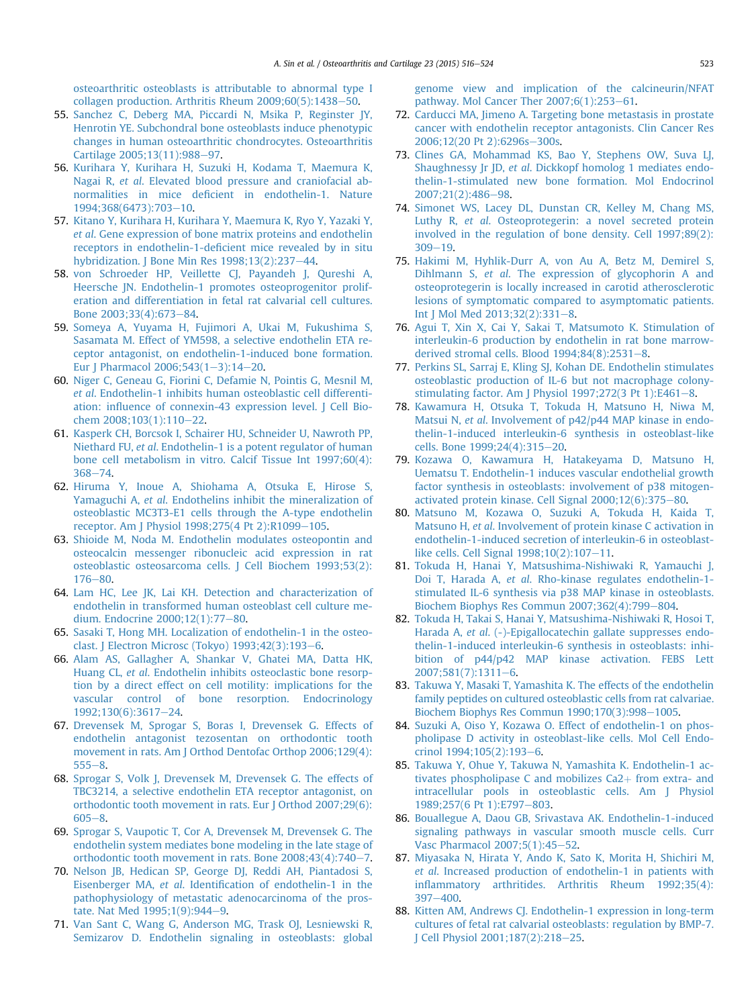<span id="page-7-0"></span>[osteoarthritic osteoblasts is attributable to abnormal type I](http://refhub.elsevier.com/S1063-4584(14)01311-9/sref54) collagen production. Arthritis Rheum  $2009;60(5):1438-50$  $2009;60(5):1438-50$ .

- 55. [Sanchez C, Deberg MA, Piccardi N, Msika P, Reginster JY,](http://refhub.elsevier.com/S1063-4584(14)01311-9/sref55) [Henrotin YE. Subchondral bone osteoblasts induce phenotypic](http://refhub.elsevier.com/S1063-4584(14)01311-9/sref55) [changes in human osteoarthritic chondrocytes. Osteoarthritis](http://refhub.elsevier.com/S1063-4584(14)01311-9/sref55) [Cartilage 2005;13\(11\):988](http://refhub.elsevier.com/S1063-4584(14)01311-9/sref55)-[97.](http://refhub.elsevier.com/S1063-4584(14)01311-9/sref55)
- 56. [Kurihara Y, Kurihara H, Suzuki H, Kodama T, Maemura K,](http://refhub.elsevier.com/S1063-4584(14)01311-9/sref56) Nagai R, et al[. Elevated blood pressure and craniofacial ab](http://refhub.elsevier.com/S1063-4584(14)01311-9/sref56)normalities in mice defi[cient in endothelin-1. Nature](http://refhub.elsevier.com/S1063-4584(14)01311-9/sref56) [1994;368\(6473\):703](http://refhub.elsevier.com/S1063-4584(14)01311-9/sref56)-[10.](http://refhub.elsevier.com/S1063-4584(14)01311-9/sref56)
- 57. [Kitano Y, Kurihara H, Kurihara Y, Maemura K, Ryo Y, Yazaki Y,](http://refhub.elsevier.com/S1063-4584(14)01311-9/sref57) et al[. Gene expression of bone matrix proteins and endothelin](http://refhub.elsevier.com/S1063-4584(14)01311-9/sref57) receptors in endothelin-1-defi[cient mice revealed by in situ](http://refhub.elsevier.com/S1063-4584(14)01311-9/sref57) hybridization. J Bone Min Res  $1998;13(2):237-44$ .
- 58. [von Schroeder HP, Veillette CJ, Payandeh J, Qureshi A,](http://refhub.elsevier.com/S1063-4584(14)01311-9/sref58) [Heersche JN. Endothelin-1 promotes osteoprogenitor prolif](http://refhub.elsevier.com/S1063-4584(14)01311-9/sref58)[eration and differentiation in fetal rat calvarial cell cultures.](http://refhub.elsevier.com/S1063-4584(14)01311-9/sref58) [Bone 2003;33\(4\):673](http://refhub.elsevier.com/S1063-4584(14)01311-9/sref58)-[84](http://refhub.elsevier.com/S1063-4584(14)01311-9/sref58).
- 59. [Someya A, Yuyama H, Fujimori A, Ukai M, Fukushima S,](http://refhub.elsevier.com/S1063-4584(14)01311-9/sref59) [Sasamata M. Effect of YM598, a selective endothelin ETA re](http://refhub.elsevier.com/S1063-4584(14)01311-9/sref59)[ceptor antagonist, on endothelin-1-induced bone formation.](http://refhub.elsevier.com/S1063-4584(14)01311-9/sref59) [Eur J Pharmacol 2006;543\(1](http://refhub.elsevier.com/S1063-4584(14)01311-9/sref59)-[3\):14](http://refhub.elsevier.com/S1063-4584(14)01311-9/sref59)-[20](http://refhub.elsevier.com/S1063-4584(14)01311-9/sref59).
- 60. [Niger C, Geneau G, Fiorini C, Defamie N, Pointis G, Mesnil M,](http://refhub.elsevier.com/S1063-4584(14)01311-9/sref60) et al[. Endothelin-1 inhibits human osteoblastic cell differenti](http://refhub.elsevier.com/S1063-4584(14)01311-9/sref60)ation: infl[uence of connexin-43 expression level. J Cell Bio](http://refhub.elsevier.com/S1063-4584(14)01311-9/sref60)[chem 2008;103\(1\):110](http://refhub.elsevier.com/S1063-4584(14)01311-9/sref60)-[22](http://refhub.elsevier.com/S1063-4584(14)01311-9/sref60).
- 61. [Kasperk CH, Borcsok I, Schairer HU, Schneider U, Nawroth PP,](http://refhub.elsevier.com/S1063-4584(14)01311-9/sref61) Niethard FU, et al[. Endothelin-1 is a potent regulator of human](http://refhub.elsevier.com/S1063-4584(14)01311-9/sref61) [bone cell metabolism in vitro. Calcif Tissue Int 1997;60\(4\):](http://refhub.elsevier.com/S1063-4584(14)01311-9/sref61) [368](http://refhub.elsevier.com/S1063-4584(14)01311-9/sref61)-[74.](http://refhub.elsevier.com/S1063-4584(14)01311-9/sref61)
- 62. [Hiruma Y, Inoue A, Shiohama A, Otsuka E, Hirose S,](http://refhub.elsevier.com/S1063-4584(14)01311-9/sref62) Yamaguchi A, et al[. Endothelins inhibit the mineralization of](http://refhub.elsevier.com/S1063-4584(14)01311-9/sref62) [osteoblastic MC3T3-E1 cells through the A-type endothelin](http://refhub.elsevier.com/S1063-4584(14)01311-9/sref62) [receptor. Am J Physiol 1998;275\(4 Pt 2\):R1099](http://refhub.elsevier.com/S1063-4584(14)01311-9/sref62)-[105](http://refhub.elsevier.com/S1063-4584(14)01311-9/sref62).
- 63. [Shioide M, Noda M. Endothelin modulates osteopontin and](http://refhub.elsevier.com/S1063-4584(14)01311-9/sref63) [osteocalcin messenger ribonucleic acid expression in rat](http://refhub.elsevier.com/S1063-4584(14)01311-9/sref63) [osteoblastic osteosarcoma cells. J Cell Biochem 1993;53\(2\):](http://refhub.elsevier.com/S1063-4584(14)01311-9/sref63)  $176 - 80.$  $176 - 80.$  $176 - 80.$
- 64. [Lam HC, Lee JK, Lai KH. Detection and characterization of](http://refhub.elsevier.com/S1063-4584(14)01311-9/sref64) [endothelin in transformed human osteoblast cell culture me](http://refhub.elsevier.com/S1063-4584(14)01311-9/sref64)[dium. Endocrine 2000;12\(1\):77](http://refhub.elsevier.com/S1063-4584(14)01311-9/sref64)-[80](http://refhub.elsevier.com/S1063-4584(14)01311-9/sref64).
- 65. [Sasaki T, Hong MH. Localization of endothelin-1 in the osteo](http://refhub.elsevier.com/S1063-4584(14)01311-9/sref65)[clast. J Electron Microsc \(Tokyo\) 1993;42\(3\):193](http://refhub.elsevier.com/S1063-4584(14)01311-9/sref65)-[6](http://refhub.elsevier.com/S1063-4584(14)01311-9/sref65).
- 66. [Alam AS, Gallagher A, Shankar V, Ghatei MA, Datta HK,](http://refhub.elsevier.com/S1063-4584(14)01311-9/sref66) Huang CL, et al[. Endothelin inhibits osteoclastic bone resorp](http://refhub.elsevier.com/S1063-4584(14)01311-9/sref66)[tion by a direct effect on cell motility: implications for the](http://refhub.elsevier.com/S1063-4584(14)01311-9/sref66) [vascular control of bone resorption. Endocrinology](http://refhub.elsevier.com/S1063-4584(14)01311-9/sref66) [1992;130\(6\):3617](http://refhub.elsevier.com/S1063-4584(14)01311-9/sref66)-[24](http://refhub.elsevier.com/S1063-4584(14)01311-9/sref66).
- 67. [Drevensek M, Sprogar S, Boras I, Drevensek G. Effects of](http://refhub.elsevier.com/S1063-4584(14)01311-9/sref67) [endothelin antagonist tezosentan on orthodontic tooth](http://refhub.elsevier.com/S1063-4584(14)01311-9/sref67) [movement in rats. Am J Orthod Dentofac Orthop 2006;129\(4\):](http://refhub.elsevier.com/S1063-4584(14)01311-9/sref67)  $555 - 8.$  $555 - 8.$  $555 - 8.$  $555 - 8.$
- 68. [Sprogar S, Volk J, Drevensek M, Drevensek G. The effects of](http://refhub.elsevier.com/S1063-4584(14)01311-9/sref68) [TBC3214, a selective endothelin ETA receptor antagonist, on](http://refhub.elsevier.com/S1063-4584(14)01311-9/sref68) [orthodontic tooth movement in rats. Eur J Orthod 2007;29\(6\):](http://refhub.elsevier.com/S1063-4584(14)01311-9/sref68)  $605 - 8.$  $605 - 8.$  $605 - 8.$  $605 - 8.$
- 69. [Sprogar S, Vaupotic T, Cor A, Drevensek M, Drevensek G. The](http://refhub.elsevier.com/S1063-4584(14)01311-9/sref69) [endothelin system mediates bone modeling in the late stage of](http://refhub.elsevier.com/S1063-4584(14)01311-9/sref69) orthodontic tooth movement in rats. Bone  $2008;43(4):740-7$ .
- 70. [Nelson JB, Hedican SP, George DJ, Reddi AH, Piantadosi S,](http://refhub.elsevier.com/S1063-4584(14)01311-9/sref70) Eisenberger MA, et al. Identifi[cation of endothelin-1 in the](http://refhub.elsevier.com/S1063-4584(14)01311-9/sref70) [pathophysiology of metastatic adenocarcinoma of the pros](http://refhub.elsevier.com/S1063-4584(14)01311-9/sref70)[tate. Nat Med 1995;1\(9\):944](http://refhub.elsevier.com/S1063-4584(14)01311-9/sref70)-[9](http://refhub.elsevier.com/S1063-4584(14)01311-9/sref70).
- 71. [Van Sant C, Wang G, Anderson MG, Trask OJ, Lesniewski R,](http://refhub.elsevier.com/S1063-4584(14)01311-9/sref71) [Semizarov D. Endothelin signaling in osteoblasts: global](http://refhub.elsevier.com/S1063-4584(14)01311-9/sref71)

[genome view and implication of the calcineurin/NFAT](http://refhub.elsevier.com/S1063-4584(14)01311-9/sref71) pathway. Mol Cancer Ther  $2007;6(1):253-61$ .

- 72. [Carducci MA, Jimeno A. Targeting bone metastasis in prostate](http://refhub.elsevier.com/S1063-4584(14)01311-9/sref72) [cancer with endothelin receptor antagonists. Clin Cancer Res](http://refhub.elsevier.com/S1063-4584(14)01311-9/sref72) [2006;12\(20 Pt 2\):6296s](http://refhub.elsevier.com/S1063-4584(14)01311-9/sref72)-[300s](http://refhub.elsevier.com/S1063-4584(14)01311-9/sref72).
- 73. [Clines GA, Mohammad KS, Bao Y, Stephens OW, Suva LJ,](http://refhub.elsevier.com/S1063-4584(14)01311-9/sref73) Shaughnessy Jr JD, et al[. Dickkopf homolog 1 mediates endo](http://refhub.elsevier.com/S1063-4584(14)01311-9/sref73)[thelin-1-stimulated new bone formation. Mol Endocrinol](http://refhub.elsevier.com/S1063-4584(14)01311-9/sref73) [2007;21\(2\):486](http://refhub.elsevier.com/S1063-4584(14)01311-9/sref73)-[98.](http://refhub.elsevier.com/S1063-4584(14)01311-9/sref73)
- 74. [Simonet WS, Lacey DL, Dunstan CR, Kelley M, Chang MS,](http://refhub.elsevier.com/S1063-4584(14)01311-9/sref74) Luthy R, et al[. Osteoprotegerin: a novel secreted protein](http://refhub.elsevier.com/S1063-4584(14)01311-9/sref74) [involved in the regulation of bone density. Cell 1997;89\(2\):](http://refhub.elsevier.com/S1063-4584(14)01311-9/sref74)  $309 - 19.$  $309 - 19.$  $309 - 19.$
- 75. [Hakimi M, Hyhlik-Durr A, von Au A, Betz M, Demirel S,](http://refhub.elsevier.com/S1063-4584(14)01311-9/sref75) Dihlmann S, et al[. The expression of glycophorin A and](http://refhub.elsevier.com/S1063-4584(14)01311-9/sref75) [osteoprotegerin is locally increased in carotid atherosclerotic](http://refhub.elsevier.com/S1063-4584(14)01311-9/sref75) [lesions of symptomatic compared to asymptomatic patients.](http://refhub.elsevier.com/S1063-4584(14)01311-9/sref75) [Int J Mol Med 2013;32\(2\):331](http://refhub.elsevier.com/S1063-4584(14)01311-9/sref75)-[8.](http://refhub.elsevier.com/S1063-4584(14)01311-9/sref75)
- 76. [Agui T, Xin X, Cai Y, Sakai T, Matsumoto K. Stimulation of](http://refhub.elsevier.com/S1063-4584(14)01311-9/sref76) [interleukin-6 production by endothelin in rat bone marrow](http://refhub.elsevier.com/S1063-4584(14)01311-9/sref76)derived stromal cells. Blood  $1994;84(8):2531-8$  $1994;84(8):2531-8$  $1994;84(8):2531-8$ .
- 77. [Perkins SL, Sarraj E, Kling SJ, Kohan DE. Endothelin stimulates](http://refhub.elsevier.com/S1063-4584(14)01311-9/sref77) [osteoblastic production of IL-6 but not macrophage colony](http://refhub.elsevier.com/S1063-4584(14)01311-9/sref77)stimulating factor. Am J Physiol  $1997;272(3 \text{ Pt} 1):E461-8$ .
- 78. [Kawamura H, Otsuka T, Tokuda H, Matsuno H, Niwa M,](http://refhub.elsevier.com/S1063-4584(14)01311-9/sref78) Matsui N, et al[. Involvement of p42/p44 MAP kinase in endo](http://refhub.elsevier.com/S1063-4584(14)01311-9/sref78)[thelin-1-induced interleukin-6 synthesis in osteoblast-like](http://refhub.elsevier.com/S1063-4584(14)01311-9/sref78) [cells. Bone 1999;24\(4\):315](http://refhub.elsevier.com/S1063-4584(14)01311-9/sref78)-[20.](http://refhub.elsevier.com/S1063-4584(14)01311-9/sref78)
- 79. [Kozawa O, Kawamura H, Hatakeyama D, Matsuno H,](http://refhub.elsevier.com/S1063-4584(14)01311-9/sref79) [Uematsu T. Endothelin-1 induces vascular endothelial growth](http://refhub.elsevier.com/S1063-4584(14)01311-9/sref79) [factor synthesis in osteoblasts: involvement of p38 mitogen](http://refhub.elsevier.com/S1063-4584(14)01311-9/sref79)activated protein kinase. Cell Signal  $2000;12(6):375-80$ .
- 80. [Matsuno M, Kozawa O, Suzuki A, Tokuda H, Kaida T,](http://refhub.elsevier.com/S1063-4584(14)01311-9/sref80) Matsuno H, et al[. Involvement of protein kinase C activation in](http://refhub.elsevier.com/S1063-4584(14)01311-9/sref80) [endothelin-1-induced secretion of interleukin-6 in osteoblast](http://refhub.elsevier.com/S1063-4584(14)01311-9/sref80)like cells. Cell Signal  $1998;10(2):107-11$ .
- 81. [Tokuda H, Hanai Y, Matsushima-Nishiwaki R, Yamauchi J,](http://refhub.elsevier.com/S1063-4584(14)01311-9/sref81) Doi T, Harada A, et al[. Rho-kinase regulates endothelin-1](http://refhub.elsevier.com/S1063-4584(14)01311-9/sref81) [stimulated IL-6 synthesis via p38 MAP kinase in osteoblasts.](http://refhub.elsevier.com/S1063-4584(14)01311-9/sref81) [Biochem Biophys Res Commun 2007;362\(4\):799](http://refhub.elsevier.com/S1063-4584(14)01311-9/sref81)-[804.](http://refhub.elsevier.com/S1063-4584(14)01311-9/sref81)
- 82. [Tokuda H, Takai S, Hanai Y, Matsushima-Nishiwaki R, Hosoi T,](http://refhub.elsevier.com/S1063-4584(14)01311-9/sref82) Harada A, et al[. \(-\)-Epigallocatechin gallate suppresses endo](http://refhub.elsevier.com/S1063-4584(14)01311-9/sref82)[thelin-1-induced interleukin-6 synthesis in osteoblasts: inhi](http://refhub.elsevier.com/S1063-4584(14)01311-9/sref82)[bition of p44/p42 MAP kinase activation. FEBS Lett](http://refhub.elsevier.com/S1063-4584(14)01311-9/sref82)  $2007;581(7):1311-6.$  $2007;581(7):1311-6.$  $2007;581(7):1311-6.$  $2007;581(7):1311-6.$
- 83. [Takuwa Y, Masaki T, Yamashita K. The effects of the endothelin](http://refhub.elsevier.com/S1063-4584(14)01311-9/sref83) [family peptides on cultured osteoblastic cells from rat calvariae.](http://refhub.elsevier.com/S1063-4584(14)01311-9/sref83) [Biochem Biophys Res Commun 1990;170\(3\):998](http://refhub.elsevier.com/S1063-4584(14)01311-9/sref83)-[1005.](http://refhub.elsevier.com/S1063-4584(14)01311-9/sref83)
- 84. [Suzuki A, Oiso Y, Kozawa O. Effect of endothelin-1 on phos](http://refhub.elsevier.com/S1063-4584(14)01311-9/sref84)[pholipase D activity in osteoblast-like cells. Mol Cell Endo](http://refhub.elsevier.com/S1063-4584(14)01311-9/sref84)[crinol 1994;105\(2\):193](http://refhub.elsevier.com/S1063-4584(14)01311-9/sref84)-[6](http://refhub.elsevier.com/S1063-4584(14)01311-9/sref84).
- 85. [Takuwa Y, Ohue Y, Takuwa N, Yamashita K. Endothelin-1 ac](http://refhub.elsevier.com/S1063-4584(14)01311-9/sref85)tivates phospholipase C and mobilizes  $Ca2+$  [from extra- and](http://refhub.elsevier.com/S1063-4584(14)01311-9/sref85) [intracellular pools in osteoblastic cells. Am J Physiol](http://refhub.elsevier.com/S1063-4584(14)01311-9/sref85) [1989;257\(6 Pt 1\):E797](http://refhub.elsevier.com/S1063-4584(14)01311-9/sref85)-[803.](http://refhub.elsevier.com/S1063-4584(14)01311-9/sref85)
- 86. [Bouallegue A, Daou GB, Srivastava AK. Endothelin-1-induced](http://refhub.elsevier.com/S1063-4584(14)01311-9/sref86) [signaling pathways in vascular smooth muscle cells. Curr](http://refhub.elsevier.com/S1063-4584(14)01311-9/sref86) [Vasc Pharmacol 2007;5\(1\):45](http://refhub.elsevier.com/S1063-4584(14)01311-9/sref86)-[52.](http://refhub.elsevier.com/S1063-4584(14)01311-9/sref86)
- 87. [Miyasaka N, Hirata Y, Ando K, Sato K, Morita H, Shichiri M,](http://refhub.elsevier.com/S1063-4584(14)01311-9/sref87) et al[. Increased production of endothelin-1 in patients with](http://refhub.elsevier.com/S1063-4584(14)01311-9/sref87) infl[ammatory arthritides. Arthritis Rheum 1992;35\(4\):](http://refhub.elsevier.com/S1063-4584(14)01311-9/sref87)  $397 - 400$  $397 - 400$
- 88. [Kitten AM, Andrews CJ. Endothelin-1 expression in long-term](http://refhub.elsevier.com/S1063-4584(14)01311-9/sref88) [cultures of fetal rat calvarial osteoblasts: regulation by BMP-7.](http://refhub.elsevier.com/S1063-4584(14)01311-9/sref88) [J Cell Physiol 2001;187\(2\):218](http://refhub.elsevier.com/S1063-4584(14)01311-9/sref88)-[25.](http://refhub.elsevier.com/S1063-4584(14)01311-9/sref88)